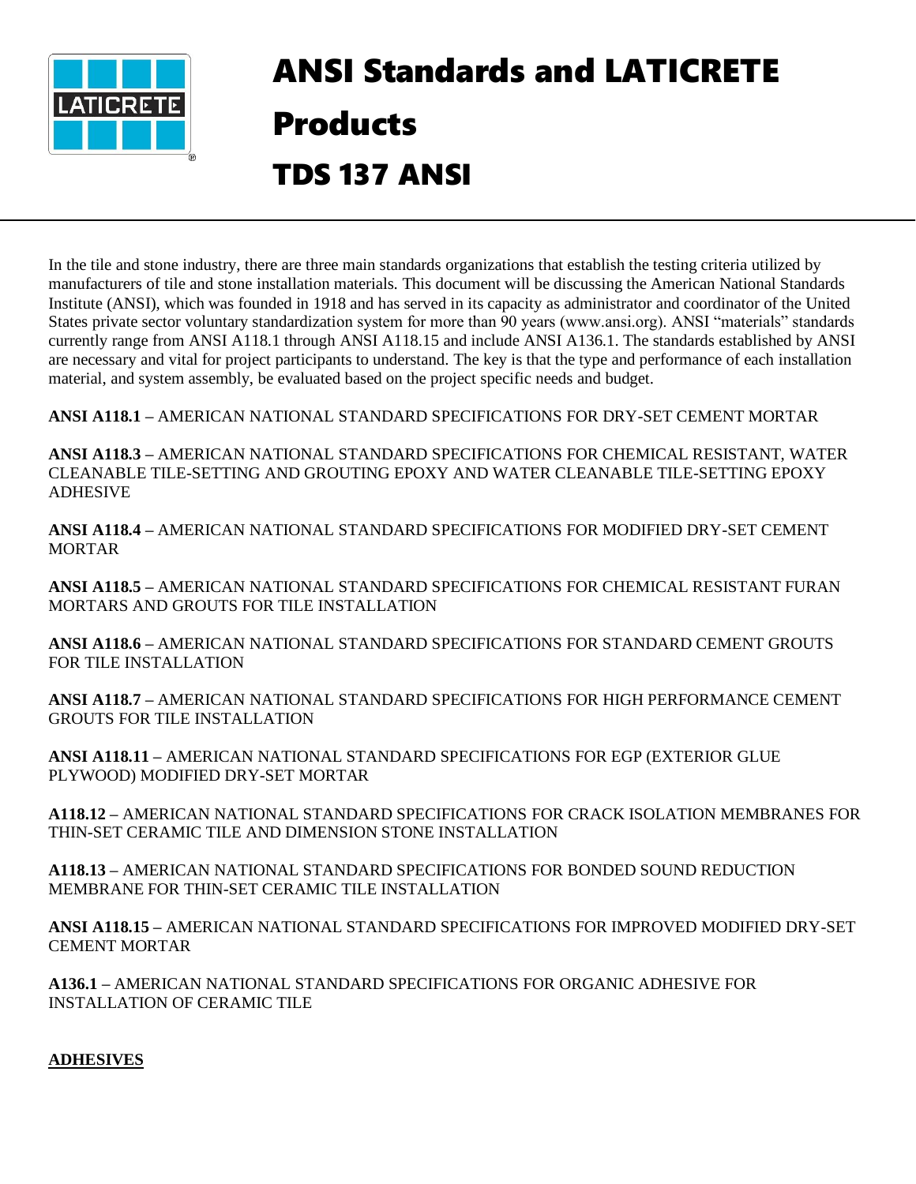

## ANSI Standards and LATICRETE Products TDS 137 ANSI

In the tile and stone industry, there are three main standards organizations that establish the testing criteria utilized by manufacturers of tile and stone installation materials. This document will be discussing the American National Standards Institute (ANSI), which was founded in 1918 and has served in its capacity as administrator and coordinator of the United States private sector voluntary standardization system for more than 90 years (www.ansi.org). ANSI "materials" standards currently range from ANSI A118.1 through ANSI A118.15 and include ANSI A136.1. The standards established by ANSI are necessary and vital for project participants to understand. The key is that the type and performance of each installation material, and system assembly, be evaluated based on the project specific needs and budget.

**ANSI A118.1 –** AMERICAN NATIONAL STANDARD SPECIFICATIONS FOR DRY-SET CEMENT MORTAR

**ANSI A118.3 –** AMERICAN NATIONAL STANDARD SPECIFICATIONS FOR CHEMICAL RESISTANT, WATER CLEANABLE TILE-SETTING AND GROUTING EPOXY AND WATER CLEANABLE TILE-SETTING EPOXY ADHESIVE

**ANSI A118.4 –** AMERICAN NATIONAL STANDARD SPECIFICATIONS FOR MODIFIED DRY-SET CEMENT MORTAR

**ANSI A118.5 –** AMERICAN NATIONAL STANDARD SPECIFICATIONS FOR CHEMICAL RESISTANT FURAN MORTARS AND GROUTS FOR TILE INSTALLATION

**ANSI A118.6 –** AMERICAN NATIONAL STANDARD SPECIFICATIONS FOR STANDARD CEMENT GROUTS FOR TILE INSTALLATION

**ANSI A118.7 –** AMERICAN NATIONAL STANDARD SPECIFICATIONS FOR HIGH PERFORMANCE CEMENT GROUTS FOR TILE INSTALLATION

**ANSI A118.11 –** AMERICAN NATIONAL STANDARD SPECIFICATIONS FOR EGP (EXTERIOR GLUE PLYWOOD) MODIFIED DRY-SET MORTAR

**A118.12 –** AMERICAN NATIONAL STANDARD SPECIFICATIONS FOR CRACK ISOLATION MEMBRANES FOR THIN-SET CERAMIC TILE AND DIMENSION STONE INSTALLATION

**A118.13 –** AMERICAN NATIONAL STANDARD SPECIFICATIONS FOR BONDED SOUND REDUCTION MEMBRANE FOR THIN-SET CERAMIC TILE INSTALLATION

**ANSI A118.15 –** AMERICAN NATIONAL STANDARD SPECIFICATIONS FOR IMPROVED MODIFIED DRY-SET CEMENT MORTAR

**A136.1 –** AMERICAN NATIONAL STANDARD SPECIFICATIONS FOR ORGANIC ADHESIVE FOR INSTALLATION OF CERAMIC TILE

## **ADHESIVES**